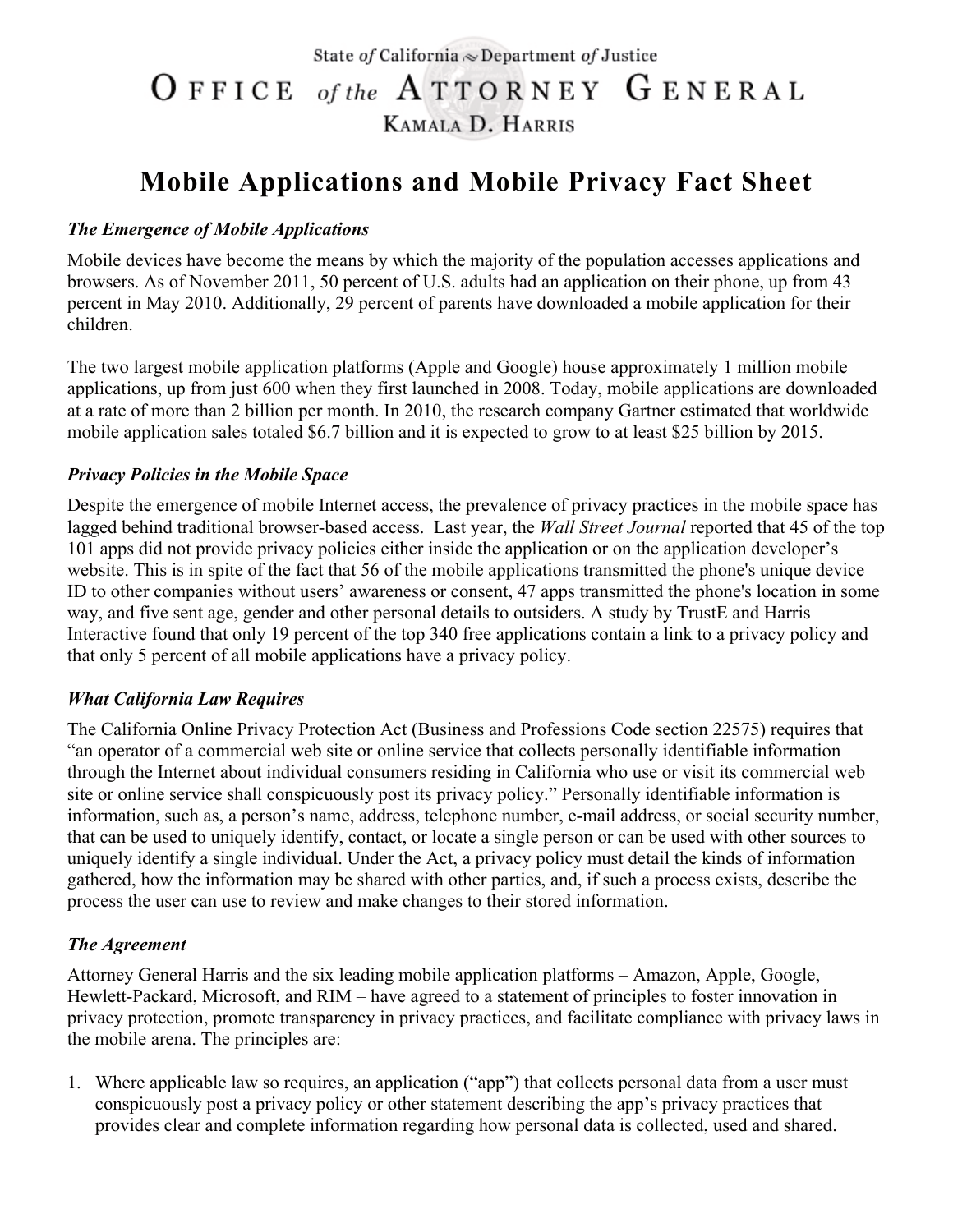State of California  $\infty$  Department of Justice

# OFFICE of the ATTORNEY GENERAL KAMALA D. HARRIS

## **Mobile Applications and Mobile Privacy Fact Sheet**

#### *The Emergence of Mobile Applications*

Mobile devices have become the means by which the majority of the population accesses applications and browsers. As of November 2011, 50 percent of U.S. adults had an application on their phone, up from 43 percent in May 2010. Additionally, 29 percent of parents have downloaded a mobile application for their children.

The two largest mobile application platforms (Apple and Google) house approximately 1 million mobile applications, up from just 600 when they first launched in 2008. Today, mobile applications are downloaded at a rate of more than 2 billion per month. In 2010, the research company Gartner estimated that worldwide mobile application sales totaled \$6.7 billion and it is expected to grow to at least \$25 billion by 2015.

#### *Privacy Policies in the Mobile Space*

Despite the emergence of mobile Internet access, the prevalence of privacy practices in the mobile space has lagged behind traditional browser-based access. Last year, the *Wall Street Journal* reported that 45 of the top 101 apps did not provide privacy policies either inside the application or on the application developer's website. This is in spite of the fact that 56 of the mobile applications transmitted the phone's unique device ID to other companies without users' awareness or consent, 47 apps transmitted the phone's location in some way, and five sent age, gender and other personal details to outsiders. A study by TrustE and Harris Interactive found that only 19 percent of the top 340 free applications contain a link to a privacy policy and that only 5 percent of all mobile applications have a privacy policy.

### *What California Law Requires*

The California Online Privacy Protection Act (Business and Professions Code section 22575) requires that "an operator of a commercial web site or online service that collects personally identifiable information through the Internet about individual consumers residing in California who use or visit its commercial web site or online service shall conspicuously post its privacy policy." Personally identifiable information is information, such as, a person's name, address, telephone number, e-mail address, or social security number, that can be used to uniquely identify, contact, or locate a single person or can be used with other sources to uniquely identify a single individual. Under the Act, a privacy policy must detail the kinds of information gathered, how the information may be shared with other parties, and, if such a process exists, describe the process the user can use to review and make changes to their stored information.

#### *The Agreement*

Attorney General Harris and the six leading mobile application platforms – Amazon, Apple, Google, Hewlett-Packard, Microsoft, and RIM – have agreed to a statement of principles to foster innovation in privacy protection, promote transparency in privacy practices, and facilitate compliance with privacy laws in the mobile arena. The principles are:

1. Where applicable law so requires, an application ("app") that collects personal data from a user must conspicuously post a privacy policy or other statement describing the app's privacy practices that provides clear and complete information regarding how personal data is collected, used and shared.